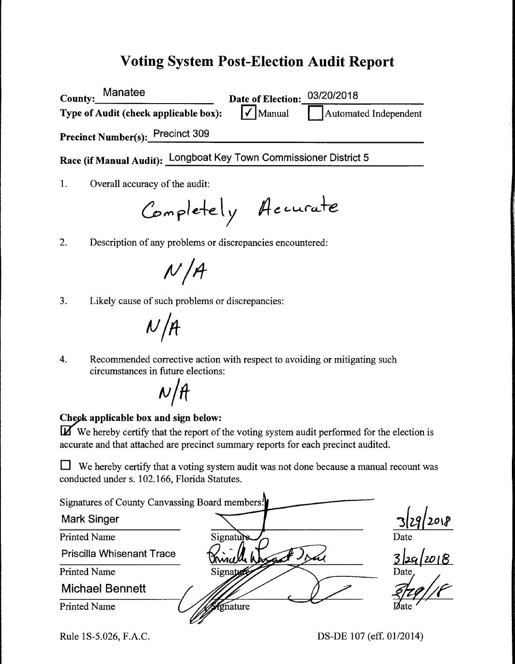# **Voting System Post-Election Audit Report**

**County: Manatee Type of Audit** ( **check applicable box): Date of Election:** 03/20/2018<br>
<del>●</del><br>
■ **1** Automated Independent **Precinct Number(s): Precinct 309 Race (if Manual Audit):** Longboat Key Town Commissioner District 5 1. Overall accuracy of the audit:

Completely Accurate

2. Description of any problems or discrepancies encountered:

 $N/A$ 

3. Likely cause of such problems or discrepancies:

 $N/A$ 

4. Recommended corrective action with respect to avoiding or mitigating such circumstances in future elections:

# $N/H$

#### **Check applicable box and sign below:**

**IZ** We hereby certify that the report of the voting system audit performed for the election is accurate and that attached are precinct summary reports for each precinct audited.

 $\Box$  We hereby certify that a voting system audit was not done because a manual recount was conducted under s. 102.166, Florida Statutes.

| Signatures of County Canvassing Board members. <sup>1</sup> |           |          |
|-------------------------------------------------------------|-----------|----------|
| <b>Mark Singer</b>                                          |           | 2018     |
| <b>Printed Name</b>                                         | Signature | Date     |
| <b>Priscilla Whisenant Trace</b>                            |           | 329/2018 |
| <b>Printed Name</b>                                         | Signation | Date,    |
| <b>Michael Bennett</b>                                      |           |          |
| <b>Printed Name</b>                                         | Vignature | Date     |

Rule 1S-5.026, F.A.C.

DS-DE 107 (eff. 01/2014)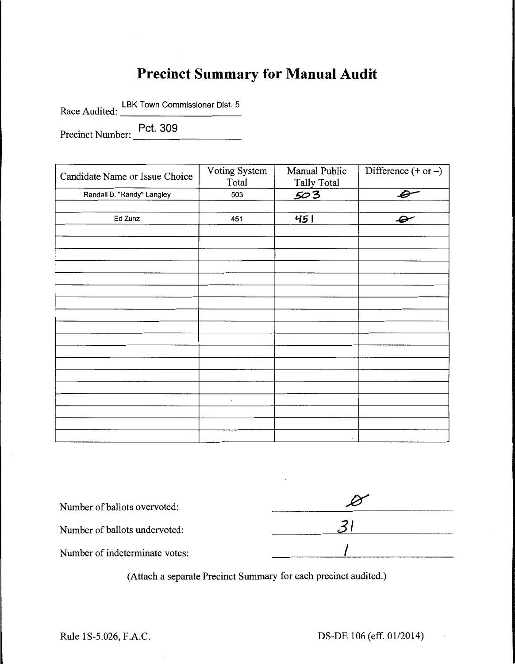# **Precinct Summary for Manual Audit**

Race Audited: LBK Town Commissioner Dist. 5

Precinct Number: Pct. 309

Candidate Name or Issue Choice Voting System Manual Public Difference (+ or -)<br>Total Tally Total Tally Total Randall B. "Randy" Langley 503 *.503 .e-*Ed Zunz 451 **'-f5** I *..(iiY'*   $\cdot$ 

| Number of ballots overvoted:   |  |
|--------------------------------|--|
| Number of ballots undervoted:  |  |
| Number of indeterminate votes: |  |

(Attach a separate Precinct Summary for each precinct audited.)

 $\mathcal{L}_{\mathcal{A}}$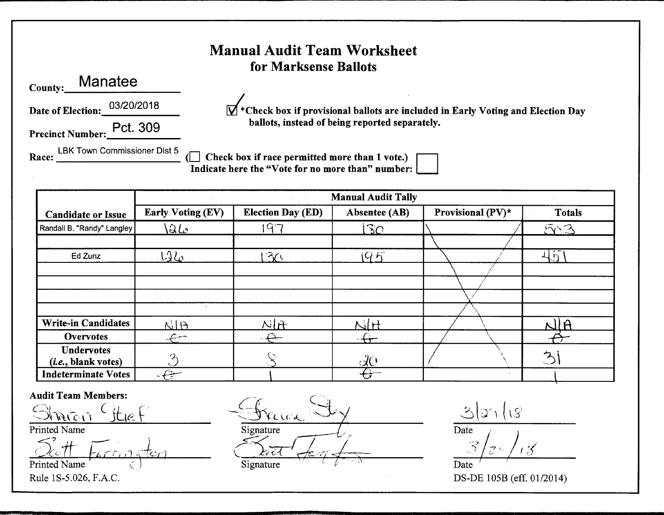### Manual Audit Team Worksheet for Marksense Ballots

County: **Manatee** 

**Date of Election:** 03/20/2018

Precinct Number: Pct. 309

 $\mathbf{V}$  \* Check box if provisional ballots are included in Early Voting and Election Day **ballots, instead of being reported separately.** 

Race: LBK Town Commissioner Dist 5 ... \_\_\_\_\_\_\_\_\_\_\_ (0 **Check box** if **race permitted more than 1 vote.)** • **Indicate here the "Vote for no more than" number:** 

|                              | <b>Manual Audit Tally</b><br>$\mathcal{A}_{\mathcal{A}}$ and $\mathcal{A}_{\mathcal{A}}$ are $\mathcal{A}_{\mathcal{A}}$ and $\mathcal{A}_{\mathcal{A}}$ and $\mathcal{A}_{\mathcal{A}}$<br>$\label{eq:2.1} \begin{split} \mathcal{L}_{\text{max}}(\mathbf{r}) & = \frac{1}{2} \left( \frac{1}{2} \mathbf{r}^2 + \frac{1}{2} \mathbf{r}^2 + \frac{1}{2} \mathbf{r}^2 + \frac{1}{2} \mathbf{r}^2 + \frac{1}{2} \mathbf{r}^2 + \frac{1}{2} \mathbf{r}^2 + \frac{1}{2} \mathbf{r}^2 + \frac{1}{2} \mathbf{r}^2 + \frac{1}{2} \mathbf{r}^2 + \frac{1}{2} \mathbf{r}^2 + \frac{1}{2} \mathbf{r}^2 + \$ |                             |                 |                   |               |
|------------------------------|---------------------------------------------------------------------------------------------------------------------------------------------------------------------------------------------------------------------------------------------------------------------------------------------------------------------------------------------------------------------------------------------------------------------------------------------------------------------------------------------------------------------------------------------------------------------------------------------------|-----------------------------|-----------------|-------------------|---------------|
| <b>Candidate or Issue</b>    | <b>Early Voting (EV)</b>                                                                                                                                                                                                                                                                                                                                                                                                                                                                                                                                                                          | <b>Election Day (ED)</b>    | Absentee (AB)   | Provisional (PV)* | <b>Totals</b> |
| Randall B. "Randy" Langley   | $\Delta\mathcal{L}$                                                                                                                                                                                                                                                                                                                                                                                                                                                                                                                                                                               | $Q^2$                       | $\overline{3}O$ |                   | 523           |
|                              |                                                                                                                                                                                                                                                                                                                                                                                                                                                                                                                                                                                                   |                             |                 |                   |               |
| Ed Zunz                      | $12\omega$                                                                                                                                                                                                                                                                                                                                                                                                                                                                                                                                                                                        | $\mathcal{F}_{\mathcal{C}}$ | 10K             |                   | $\mathbf{r}$  |
|                              |                                                                                                                                                                                                                                                                                                                                                                                                                                                                                                                                                                                                   |                             |                 |                   |               |
|                              |                                                                                                                                                                                                                                                                                                                                                                                                                                                                                                                                                                                                   |                             |                 |                   |               |
|                              |                                                                                                                                                                                                                                                                                                                                                                                                                                                                                                                                                                                                   |                             |                 |                   |               |
|                              |                                                                                                                                                                                                                                                                                                                                                                                                                                                                                                                                                                                                   |                             |                 |                   |               |
| <b>Write-in Candidates</b>   | RIB                                                                                                                                                                                                                                                                                                                                                                                                                                                                                                                                                                                               | $N$ $R$                     | NH              |                   | NIA           |
| <b>Overvotes</b>             | $\leftarrow$                                                                                                                                                                                                                                                                                                                                                                                                                                                                                                                                                                                      | $\ominus$                   |                 |                   |               |
| Undervotes                   | グ                                                                                                                                                                                                                                                                                                                                                                                                                                                                                                                                                                                                 |                             |                 |                   | $\mathcal{P}$ |
| ( <i>i.e.</i> , blank votes) |                                                                                                                                                                                                                                                                                                                                                                                                                                                                                                                                                                                                   |                             | LO              |                   |               |
| <b>Indeterminate Votes</b>   |                                                                                                                                                                                                                                                                                                                                                                                                                                                                                                                                                                                                   |                             |                 |                   |               |

**Audit Team Members:** 

Printed Name

 $\leq^2$  if  $\sim$  $\leftarrow$   $\leftarrow$   $\leftarrow$ ,· - - " - ,,  $\Omega$ <sub>c</sub>tt Faccinatori Printed Name

 $G_{\text{Ric},0}$  (it  $\epsilon$  Freeze)  $G_{\text{Ric},0}$   $G_{\text{Ric},0}$   $G_{\text{Ric},0}$   $G_{\text{Ric},0}$   $G_{\text{Ric},0}$   $G_{\text{Ric},0}$   $G_{\text{Ric},0}$   $G_{\text{Ric},0}$   $G_{\text{Ric},0}$   $G_{\text{Ric},0}$   $G_{\text{Ric},0}$   $G_{\text{Ric},0}$   $G_{\text{Ric},0}$   $G_{\text{Ric},0}$   $G_{\text{Ric},$ **Signature**  $\bigcap_{\mathcal{H}}$ Signature

 $\frac{O(1 + 1.3)}{2}$  $-3/2$ Date

Rule lS-5.026, F.A.C. DS-DE 105B (eff. 01/2014)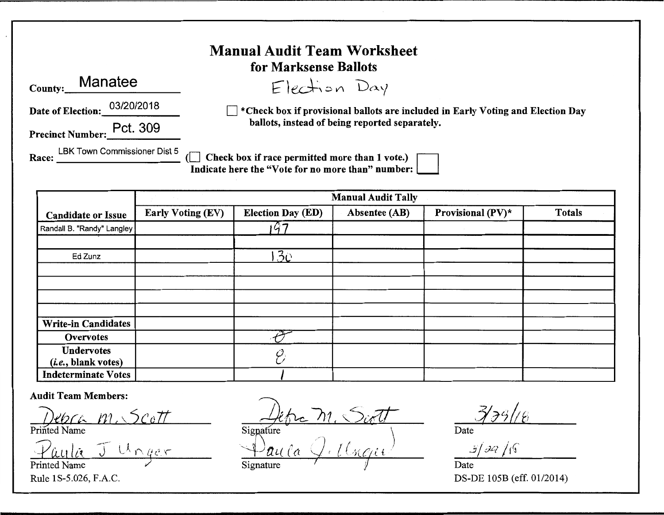| <b>Manual Audit Team Worksheet</b><br>for Marksense Ballots |                                                                                                     |  |  |  |
|-------------------------------------------------------------|-----------------------------------------------------------------------------------------------------|--|--|--|
| Manatee<br>County:                                          | Election Day                                                                                        |  |  |  |
| 03/20/2018<br>Date of Election:                             | *Check box if provisional ballots are included in Early Voting and Election Day                     |  |  |  |
| Precinct Number: Pct. 309                                   | ballots, instead of being reported separately.                                                      |  |  |  |
| LBK Town Commissioner Dist 5<br>Race:                       | Check box if race permitted more than 1 vote.)<br>Indicate here the "Vote for no more than" number: |  |  |  |

|                              | <b>Manual Audit Tally</b> |                          |               |                   |               |
|------------------------------|---------------------------|--------------------------|---------------|-------------------|---------------|
| <b>Candidate or Issue</b>    | Early Voting (EV)         | <b>Election Day (ED)</b> | Absentee (AB) | Provisional (PV)* | <b>Totals</b> |
| Randall B. "Randy" Langley   |                           | 7                        |               |                   |               |
|                              |                           |                          |               |                   |               |
| Ed Zunz                      |                           | 30 <sub>1</sub>          |               |                   |               |
|                              |                           |                          |               |                   |               |
|                              |                           |                          |               |                   |               |
|                              |                           |                          |               |                   |               |
|                              |                           |                          |               |                   |               |
| <b>Write-in Candidates</b>   |                           |                          |               |                   |               |
| Overvotes                    |                           |                          |               |                   |               |
| <b>Undervotes</b>            |                           |                          |               |                   |               |
| ( <i>i.e.</i> , blank votes) |                           |                          |               |                   |               |
| Indeterminate Votes          |                           |                          |               |                   |               |

#### **Audit Team Members:**

*j)ehcl:.. rn,* "'5colt PnntedName Printed Name

 $U \cap q$ *er* Printed Name

Signature  $\mathcal{Q}_i$  *t*  $(\ell_{\mathcal{KCH}})$  $\frac{\Delta t}{\text{Signature}}$   $\frac{\Delta t}{\text{Simplure}}$  ,  $\frac{\Delta}{\text{Date}}$ 

 $Signature$   $\sqrt{}$   $\sqrt{}$  Date

Date

*3/dq* /rr

Rule lS-5.026, F.A.C. DS-DE 105B (eff. 01/2014)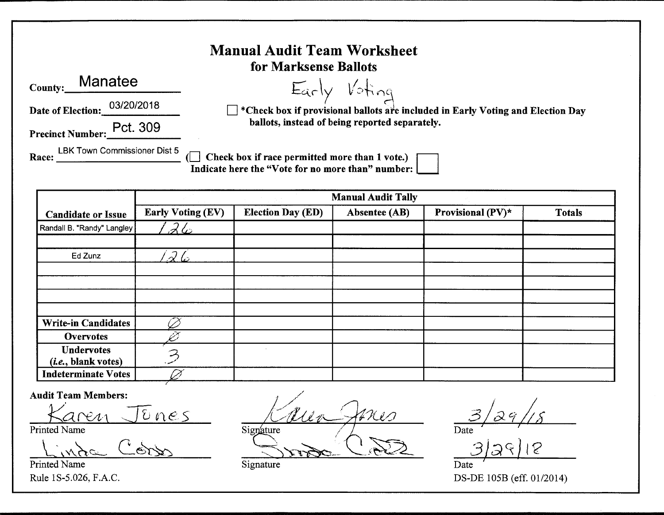| <b>Manual Audit Team Worksheet</b><br>for Marksense Ballots |                                                                                                       |  |  |  |
|-------------------------------------------------------------|-------------------------------------------------------------------------------------------------------|--|--|--|
| Manatee<br>County:                                          |                                                                                                       |  |  |  |
| 03/20/2018<br>Date of Election:                             | Early Voting<br>I *Check box if provisional ballots are included in Early Voting and Election Day     |  |  |  |
| Precinct Number: Pct. 309                                   | ballots, instead of being reported separately.                                                        |  |  |  |
| LBK Town Commissioner Dist 5<br>Race:                       | Check box if race permitted more than 1 vote.) [<br>Indicate here the "Vote for no more than" number: |  |  |  |

|                              | <b>Manual Audit Tally</b> |                          |               |                   |               |
|------------------------------|---------------------------|--------------------------|---------------|-------------------|---------------|
| <b>Candidate or Issue</b>    | <b>Early Voting (EV)</b>  | <b>Election Day (ED)</b> | Absentee (AB) | Provisional (PV)* | <b>Totals</b> |
| Randall B. "Randy" Langley   | 26                        |                          |               |                   |               |
|                              |                           |                          |               |                   |               |
| Ed Zunz                      | 26                        |                          |               |                   |               |
|                              |                           |                          |               |                   |               |
|                              |                           |                          |               |                   |               |
|                              |                           |                          |               |                   |               |
|                              |                           |                          |               |                   |               |
| <b>Write-in Candidates</b>   |                           |                          |               |                   |               |
| <b>Overvotes</b>             |                           |                          |               |                   |               |
| <b>Undervotes</b>            |                           |                          |               |                   |               |
| ( <i>i.e.</i> , blank votes) |                           |                          |               |                   |               |
| <b>Indeterminate Votes</b>   |                           |                          |               |                   |               |

**Audit Team Members:** 

en Jenes

Printed Name

 $\epsilon$ )  $\times$ 

Printed Name Rule 1S-5.026, F.A.C.

mes **Si~../**  $\rightarrow$   $\rightarrow$   $\rightarrow$   $\rightarrow$   $\rightarrow$ --

 $3/29/15$ Date

 $32918$ 

DS-DE 105B (eff. 01/2014)

Signature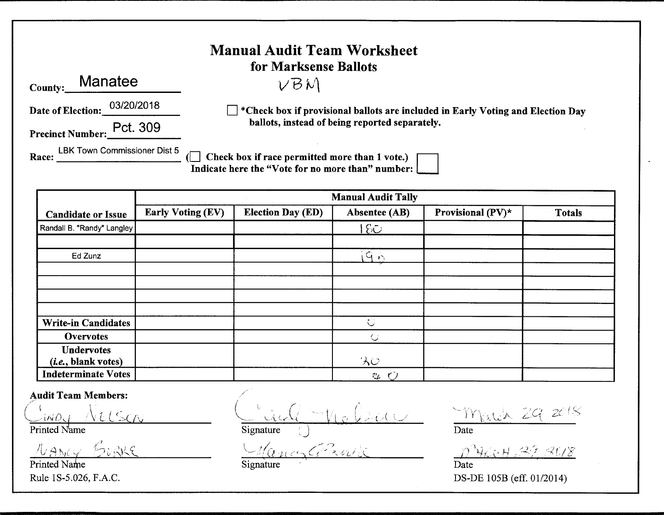| <b>Manual Audit Team Worksheet</b><br>for Marksense Ballots |                                                                                                     |  |  |  |
|-------------------------------------------------------------|-----------------------------------------------------------------------------------------------------|--|--|--|
| <b>Manatee</b><br><b>County:</b>                            | VBM                                                                                                 |  |  |  |
| 03/20/2018<br>Date of Election:                             | $\Box$ *Check box if provisional ballots are included in Early Voting and Election Day              |  |  |  |
| Pct. 309<br><b>Precinct Number:</b>                         | ballots, instead of being reported separately.                                                      |  |  |  |
| LBK Town Commissioner Dist 5<br>Race:                       | Check box if race permitted more than 1 vote.)<br>Indicate here the "Vote for no more than" number: |  |  |  |

|                                                   | <b>Manual Audit Tally</b> |                          |                     |                   |               |
|---------------------------------------------------|---------------------------|--------------------------|---------------------|-------------------|---------------|
| <b>Candidate or Issue</b>                         | <b>Early Voting (EV)</b>  | <b>Election Day (ED)</b> | Absentee (AB)       | Provisional (PV)* | <b>Totals</b> |
| Randall B. "Randy" Langley                        |                           |                          | $ E\bigcirc$        |                   |               |
|                                                   |                           |                          |                     |                   |               |
| Ed Zunz                                           |                           |                          | $G_{\mathbf{N}}$    |                   |               |
|                                                   |                           |                          |                     |                   |               |
|                                                   |                           |                          |                     |                   |               |
|                                                   |                           |                          |                     |                   |               |
| <b>Write-in Candidates</b>                        |                           |                          | $\circlearrowright$ |                   |               |
| <b>Overvotes</b>                                  |                           |                          | $\bigcirc$          |                   |               |
| <b>Undervotes</b><br>( <i>i.e.</i> , blank votes) |                           |                          | りん                  |                   |               |
| <b>Indeterminate Votes</b>                        |                           |                          | $v_{L}$             |                   |               |

Audit Team Members:

*,/-* ) I  $C$ inoy NELSON

Printed Name

 $N$ ANCY BURKS

Printed Name Rule lS-5.026, F.A.C.

 $( \quad \vee \quad \cdot \quad \wedge \quad \cdot \quad \cdot \quad \wedge$  $C$ . ind  $V_{\rm lo}$   $\cup$ Signature

 $U_{\alpha}$  , and  $\alpha$  $\cup$  1/2 /

'··- $Y$  rates  $ZG$ C. 20 (S

Date

 $10^{\circ}$  460 H . 29, 2018

Date DS-DE 105B (eff. 01/2014)

**Signature**